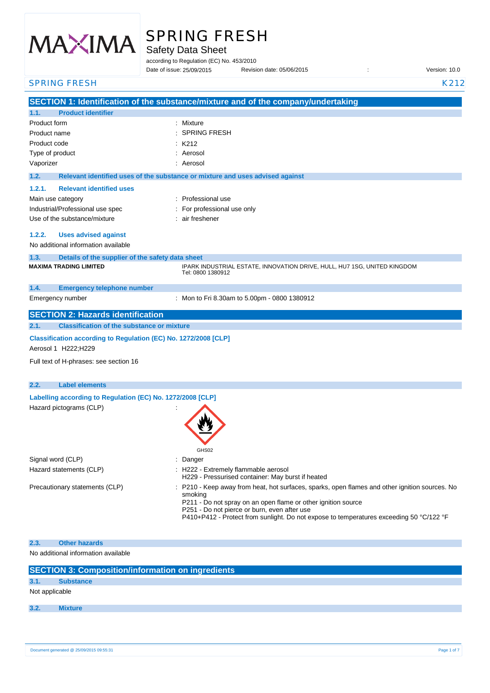

# SPRING FRESH

Safety Data Sheet

according to Regulation (EC) No. 453/2010

|                                                                                         | Date of issue: 25/09/2015                                                     | Revision date: 05/06/2015                                                                                                                                                                                                                                                                                | Version: 10.0 |
|-----------------------------------------------------------------------------------------|-------------------------------------------------------------------------------|----------------------------------------------------------------------------------------------------------------------------------------------------------------------------------------------------------------------------------------------------------------------------------------------------------|---------------|
| <b>SPRING FRESH</b>                                                                     |                                                                               |                                                                                                                                                                                                                                                                                                          | K212          |
|                                                                                         |                                                                               | SECTION 1: Identification of the substance/mixture and of the company/undertaking                                                                                                                                                                                                                        |               |
| <b>Product identifier</b><br>1.1.                                                       |                                                                               |                                                                                                                                                                                                                                                                                                          |               |
| Product form                                                                            | : Mixture                                                                     |                                                                                                                                                                                                                                                                                                          |               |
| Product name                                                                            | <b>SPRING FRESH</b>                                                           |                                                                                                                                                                                                                                                                                                          |               |
| Product code                                                                            | K212                                                                          |                                                                                                                                                                                                                                                                                                          |               |
| Type of product                                                                         | : Aerosol                                                                     |                                                                                                                                                                                                                                                                                                          |               |
| Vaporizer                                                                               | : Aerosol                                                                     |                                                                                                                                                                                                                                                                                                          |               |
| 1.2.                                                                                    | Relevant identified uses of the substance or mixture and uses advised against |                                                                                                                                                                                                                                                                                                          |               |
| 1.2.1.<br><b>Relevant identified uses</b>                                               |                                                                               |                                                                                                                                                                                                                                                                                                          |               |
| Main use category                                                                       | Professional use                                                              |                                                                                                                                                                                                                                                                                                          |               |
| Industrial/Professional use spec                                                        | For professional use only                                                     |                                                                                                                                                                                                                                                                                                          |               |
| Use of the substance/mixture                                                            | air freshener                                                                 |                                                                                                                                                                                                                                                                                                          |               |
| 1.2.2.<br><b>Uses advised against</b>                                                   |                                                                               |                                                                                                                                                                                                                                                                                                          |               |
| No additional information available                                                     |                                                                               |                                                                                                                                                                                                                                                                                                          |               |
| 1.3.<br>Details of the supplier of the safety data sheet                                |                                                                               |                                                                                                                                                                                                                                                                                                          |               |
| <b>MAXIMA TRADING LIMITED</b>                                                           | Tel: 0800 1380912                                                             | IPARK INDUSTRIAL ESTATE, INNOVATION DRIVE, HULL, HU7 1SG, UNITED KINGDOM                                                                                                                                                                                                                                 |               |
| 1.4.<br><b>Emergency telephone number</b>                                               |                                                                               |                                                                                                                                                                                                                                                                                                          |               |
| Emergency number                                                                        |                                                                               | : Mon to Fri 8.30am to 5.00pm - 0800 1380912                                                                                                                                                                                                                                                             |               |
| <b>SECTION 2: Hazards identification</b>                                                |                                                                               |                                                                                                                                                                                                                                                                                                          |               |
| 2.1.<br><b>Classification of the substance or mixture</b>                               |                                                                               |                                                                                                                                                                                                                                                                                                          |               |
| Classification according to Regulation (EC) No. 1272/2008 [CLP]<br>Aerosol 1 H222; H229 |                                                                               |                                                                                                                                                                                                                                                                                                          |               |
| Full text of H-phrases: see section 16                                                  |                                                                               |                                                                                                                                                                                                                                                                                                          |               |
| 2.2.<br><b>Label elements</b>                                                           |                                                                               |                                                                                                                                                                                                                                                                                                          |               |
| Labelling according to Regulation (EC) No. 1272/2008 [CLP]                              |                                                                               |                                                                                                                                                                                                                                                                                                          |               |
| Hazard pictograms (CLP)                                                                 | GHS02                                                                         |                                                                                                                                                                                                                                                                                                          |               |
| Signal word (CLP)                                                                       | Danger                                                                        |                                                                                                                                                                                                                                                                                                          |               |
| Hazard statements (CLP)                                                                 |                                                                               | : H222 - Extremely flammable aerosol                                                                                                                                                                                                                                                                     |               |
|                                                                                         |                                                                               | H229 - Pressurised container: May burst if heated                                                                                                                                                                                                                                                        |               |
| Precautionary statements (CLP)                                                          | smoking                                                                       | P210 - Keep away from heat, hot surfaces, sparks, open flames and other ignition sources. No<br>P211 - Do not spray on an open flame or other ignition source<br>P251 - Do not pierce or burn, even after use<br>P410+P412 - Protect from sunlight. Do not expose to temperatures exceeding 50 °C/122 °F |               |
| <b>Other hazards</b><br>2.3.                                                            |                                                                               |                                                                                                                                                                                                                                                                                                          |               |
| No additional information available                                                     |                                                                               |                                                                                                                                                                                                                                                                                                          |               |
| <b>SECTION 3: Composition/information on ingredients</b>                                |                                                                               |                                                                                                                                                                                                                                                                                                          |               |
| 3.1.<br><b>Substance</b>                                                                |                                                                               |                                                                                                                                                                                                                                                                                                          |               |
| Not applicable                                                                          |                                                                               |                                                                                                                                                                                                                                                                                                          |               |
| 3.2.<br><b>Mixture</b>                                                                  |                                                                               |                                                                                                                                                                                                                                                                                                          |               |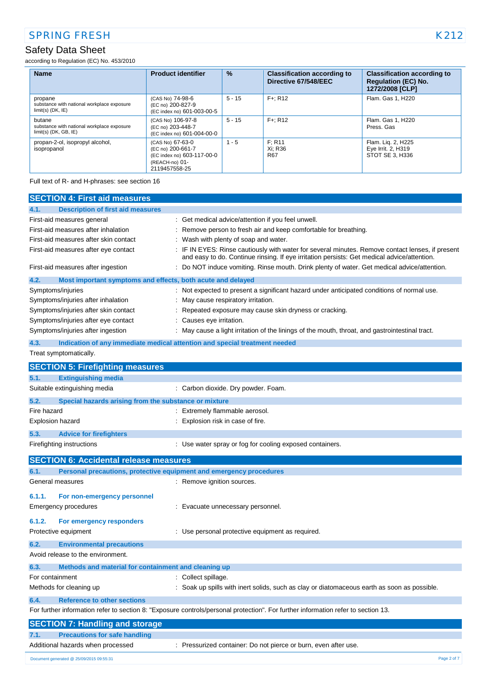according to Regulation (EC) No. 453/2010

| <b>Name</b>                                                                     | <b>Product identifier</b>                                                                              | $\frac{9}{6}$ | <b>Classification according to</b><br>Directive 67/548/EEC | <b>Classification according to</b><br><b>Regulation (EC) No.</b><br>1272/2008 [CLP] |
|---------------------------------------------------------------------------------|--------------------------------------------------------------------------------------------------------|---------------|------------------------------------------------------------|-------------------------------------------------------------------------------------|
| propane<br>substance with national workplace exposure<br>$limit(s)$ (DK, $IE$ ) | (CAS No) 74-98-6<br>(EC no) 200-827-9<br>(EC index no) 601-003-00-5                                    | $5 - 15$      | $F +: R12$                                                 | Flam. Gas 1, H220                                                                   |
| butane<br>substance with national workplace exposure<br>$limit(s)$ (DK, GB, IE) | (CAS No) 106-97-8<br>(EC no) 203-448-7<br>(EC index no) 601-004-00-0                                   | $5 - 15$      | $F +: R12$                                                 | Flam. Gas 1. H220<br>Press, Gas                                                     |
| propan-2-ol, isopropyl alcohol,<br>isopropanol                                  | (CAS No) 67-63-0<br>(EC no) 200-661-7<br>(EC index no) 603-117-00-0<br>(REACH-no) 01-<br>2119457558-25 | $1 - 5$       | F: R11<br>Xi: R36<br><b>R67</b>                            | Flam. Lig. 2, H225<br>Eye Irrit. 2, H319<br>STOT SE 3. H336                         |

Full text of R- and H-phrases: see section 16

|                                          | <b>SECTION 4: First aid measures</b>                  |                                                                                                                                                                                                 |
|------------------------------------------|-------------------------------------------------------|-------------------------------------------------------------------------------------------------------------------------------------------------------------------------------------------------|
|                                          |                                                       |                                                                                                                                                                                                 |
| 4.1.<br>First-aid measures general       | <b>Description of first aid measures</b>              | : Get medical advice/attention if you feel unwell.                                                                                                                                              |
| First-aid measures after inhalation      |                                                       |                                                                                                                                                                                                 |
| First-aid measures after skin contact    |                                                       | : Remove person to fresh air and keep comfortable for breathing.                                                                                                                                |
|                                          |                                                       | Wash with plenty of soap and water.                                                                                                                                                             |
| First-aid measures after eye contact     |                                                       | : IF IN EYES: Rinse cautiously with water for several minutes. Remove contact lenses, if present<br>and easy to do. Continue rinsing. If eye irritation persists: Get medical advice/attention. |
| First-aid measures after ingestion       |                                                       | : Do NOT induce vomiting. Rinse mouth. Drink plenty of water. Get medical advice/attention.                                                                                                     |
| 4.2.                                     |                                                       | Most important symptoms and effects, both acute and delayed                                                                                                                                     |
| Symptoms/injuries                        |                                                       | : Not expected to present a significant hazard under anticipated conditions of normal use.                                                                                                      |
| Symptoms/injuries after inhalation       |                                                       | May cause respiratory irritation.                                                                                                                                                               |
| Symptoms/injuries after skin contact     |                                                       | Repeated exposure may cause skin dryness or cracking.                                                                                                                                           |
| Symptoms/injuries after eye contact      |                                                       | : Causes eye irritation.                                                                                                                                                                        |
| Symptoms/injuries after ingestion        |                                                       | : May cause a light irritation of the linings of the mouth, throat, and gastrointestinal tract.                                                                                                 |
| 4.3.                                     |                                                       | Indication of any immediate medical attention and special treatment needed                                                                                                                      |
| Treat symptomatically.                   |                                                       |                                                                                                                                                                                                 |
|                                          |                                                       |                                                                                                                                                                                                 |
|                                          | <b>SECTION 5: Firefighting measures</b>               |                                                                                                                                                                                                 |
| 5.1.                                     | <b>Extinguishing media</b>                            |                                                                                                                                                                                                 |
| Suitable extinguishing media             |                                                       | : Carbon dioxide. Dry powder. Foam.                                                                                                                                                             |
| 5.2.                                     | Special hazards arising from the substance or mixture |                                                                                                                                                                                                 |
| Fire hazard                              |                                                       | : Extremely flammable aerosol.                                                                                                                                                                  |
| <b>Explosion hazard</b>                  |                                                       | Explosion risk in case of fire.                                                                                                                                                                 |
| 5.3.                                     | <b>Advice for firefighters</b>                        |                                                                                                                                                                                                 |
| Firefighting instructions                |                                                       | : Use water spray or fog for cooling exposed containers.                                                                                                                                        |
|                                          | <b>SECTION 6: Accidental release measures</b>         |                                                                                                                                                                                                 |
| 6.1.                                     |                                                       | Personal precautions, protective equipment and emergency procedures                                                                                                                             |
| General measures                         |                                                       | : Remove ignition sources.                                                                                                                                                                      |
|                                          |                                                       |                                                                                                                                                                                                 |
| 6.1.1.                                   | For non-emergency personnel                           |                                                                                                                                                                                                 |
| <b>Emergency procedures</b>              |                                                       | : Evacuate unnecessary personnel.                                                                                                                                                               |
| 6.1.2.                                   | For emergency responders                              |                                                                                                                                                                                                 |
| Protective equipment                     |                                                       | : Use personal protective equipment as required.                                                                                                                                                |
| 6.2.                                     | <b>Environmental precautions</b>                      |                                                                                                                                                                                                 |
| Avoid release to the environment.        |                                                       |                                                                                                                                                                                                 |
|                                          |                                                       |                                                                                                                                                                                                 |
| 6.3.                                     | Methods and material for containment and cleaning up  |                                                                                                                                                                                                 |
| For containment                          |                                                       | : Collect spillage.                                                                                                                                                                             |
| Methods for cleaning up                  |                                                       | : Soak up spills with inert solids, such as clay or diatomaceous earth as soon as possible.                                                                                                     |
| 6.4.                                     | <b>Reference to other sections</b>                    |                                                                                                                                                                                                 |
|                                          |                                                       | For further information refer to section 8: "Exposure controls/personal protection". For further information refer to section 13.                                                               |
|                                          | <b>SECTION 7: Handling and storage</b>                |                                                                                                                                                                                                 |
| 7.1.                                     | <b>Precautions for safe handling</b>                  |                                                                                                                                                                                                 |
| Additional hazards when processed        |                                                       | : Pressurized container: Do not pierce or burn, even after use.                                                                                                                                 |
|                                          |                                                       |                                                                                                                                                                                                 |
| Document generated @ 25/09/2015 09:55:31 |                                                       | Page 2 of 7                                                                                                                                                                                     |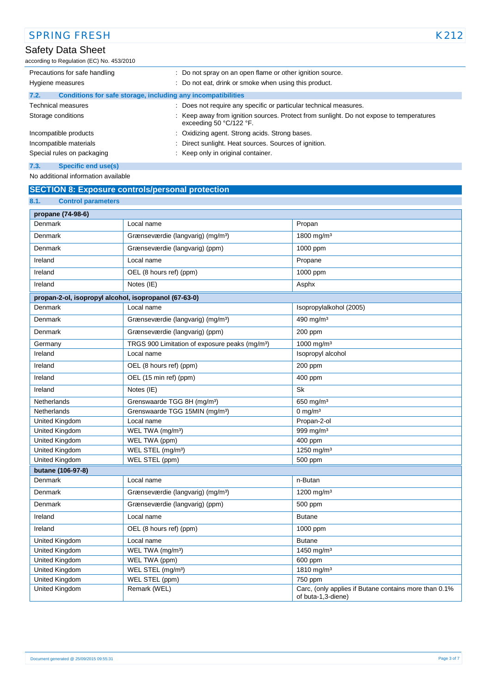according to Regulation (EC) No. 453/2010

| Precautions for safe handling                                        | : Do not spray on an open flame or other ignition source.                                                            |
|----------------------------------------------------------------------|----------------------------------------------------------------------------------------------------------------------|
| Hygiene measures                                                     | : Do not eat, drink or smoke when using this product.                                                                |
| Conditions for safe storage, including any incompatibilities<br>7.2. |                                                                                                                      |
| <b>Technical measures</b>                                            | : Does not require any specific or particular technical measures.                                                    |
| Storage conditions                                                   | : Keep away from ignition sources. Protect from sunlight. Do not expose to temperatures<br>exceeding 50 $°C/122$ °F. |
| Incompatible products                                                | : Oxidizing agent. Strong acids. Strong bases.                                                                       |
| Incompatible materials                                               | Direct sunlight. Heat sources. Sources of ignition.<br>٠                                                             |
| Special rules on packaging                                           | : Keep only in original container.                                                                                   |
| 7.3.<br>Specific end use(s)                                          |                                                                                                                      |

No additional information available

## **SECTION 8: Exposure controls/personal protection**

| 8.1.<br><b>Control parameters</b>                     |                                                            |                                                                             |
|-------------------------------------------------------|------------------------------------------------------------|-----------------------------------------------------------------------------|
| propane (74-98-6)                                     |                                                            |                                                                             |
| <b>Denmark</b>                                        | Local name                                                 | Propan                                                                      |
| Denmark                                               | Grænseværdie (langvarig) (mg/m <sup>3</sup> )              | 1800 mg/m <sup>3</sup>                                                      |
| Denmark                                               | Grænseværdie (langvarig) (ppm)                             | 1000 ppm                                                                    |
| Ireland                                               | Local name                                                 | Propane                                                                     |
| Ireland                                               | OEL (8 hours ref) (ppm)                                    | 1000 ppm                                                                    |
| Ireland                                               | Notes (IE)                                                 | Asphx                                                                       |
| propan-2-ol, isopropyl alcohol, isopropanol (67-63-0) |                                                            |                                                                             |
| Denmark                                               | Local name                                                 | Isopropylalkohol (2005)                                                     |
| Denmark                                               | Grænseværdie (langvarig) (mg/m <sup>3</sup> )              | 490 mg/m <sup>3</sup>                                                       |
| Denmark                                               | Grænseværdie (langvarig) (ppm)                             | 200 ppm                                                                     |
| Germany                                               | TRGS 900 Limitation of exposure peaks (mg/m <sup>3</sup> ) | 1000 mg/m <sup>3</sup>                                                      |
| Ireland                                               | Local name                                                 | Isopropyl alcohol                                                           |
| Ireland                                               | OEL (8 hours ref) (ppm)                                    | 200 ppm                                                                     |
| Ireland                                               | OEL (15 min ref) (ppm)                                     | 400 ppm                                                                     |
| Ireland                                               | Notes (IE)                                                 | Sk                                                                          |
| Netherlands                                           | Grenswaarde TGG 8H (mg/m <sup>3</sup> )                    | 650 mg/m $3$                                                                |
| Netherlands                                           | Grenswaarde TGG 15MIN (mg/m <sup>3</sup> )                 | 0 mg/m $3$                                                                  |
| United Kingdom                                        | Local name                                                 | Propan-2-ol                                                                 |
| United Kingdom                                        | WEL TWA (mg/m <sup>3</sup> )                               | 999 mg/m <sup>3</sup>                                                       |
| United Kingdom                                        | WEL TWA (ppm)                                              | 400 ppm                                                                     |
| United Kingdom                                        | WEL STEL (mg/m <sup>3</sup> )                              | 1250 mg/m <sup>3</sup>                                                      |
| United Kingdom                                        | WEL STEL (ppm)                                             | 500 ppm                                                                     |
| butane (106-97-8)                                     |                                                            |                                                                             |
| Denmark                                               | Local name                                                 | n-Butan                                                                     |
| Denmark                                               | Grænseværdie (langvarig) (mg/m <sup>3</sup> )              | 1200 mg/m <sup>3</sup>                                                      |
| Denmark                                               | Grænseværdie (langvarig) (ppm)                             | 500 ppm                                                                     |
| Ireland                                               | Local name                                                 | <b>Butane</b>                                                               |
| Ireland                                               | OEL (8 hours ref) (ppm)                                    | 1000 ppm                                                                    |
| United Kingdom                                        | Local name                                                 | <b>Butane</b>                                                               |
| United Kingdom                                        | WEL TWA (mg/m <sup>3</sup> )                               | 1450 mg/m <sup>3</sup>                                                      |
| United Kingdom                                        | WEL TWA (ppm)                                              | 600 ppm                                                                     |
| United Kingdom                                        | WEL STEL (mg/m <sup>3</sup> )                              | 1810 mg/m <sup>3</sup>                                                      |
| United Kingdom                                        | WEL STEL (ppm)                                             | 750 ppm                                                                     |
| <b>United Kingdom</b>                                 | Remark (WEL)                                               | Carc, (only applies if Butane contains more than 0.1%<br>of buta-1,3-diene) |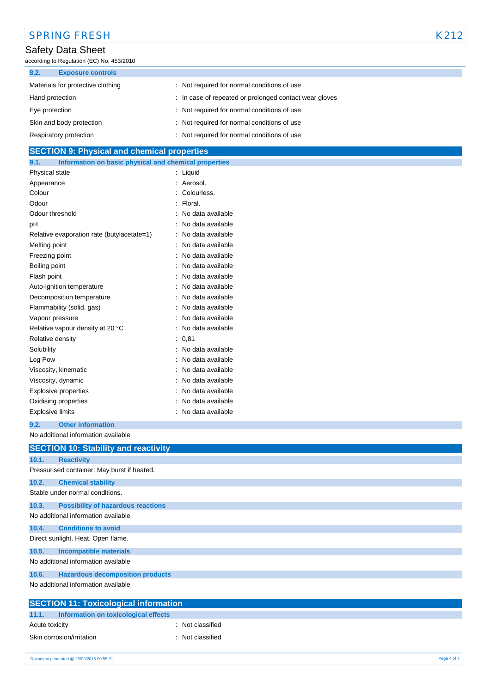| <b>SPRING FRESH</b>                                            |                                                        | K212 |
|----------------------------------------------------------------|--------------------------------------------------------|------|
| Safety Data Sheet<br>according to Regulation (EC) No. 453/2010 |                                                        |      |
| 8.2.<br><b>Exposure controls</b>                               |                                                        |      |
| Materials for protective clothing                              | : Not required for normal conditions of use            |      |
| Hand protection                                                | : In case of repeated or prolonged contact wear gloves |      |
| Eye protection                                                 | : Not required for normal conditions of use            |      |
| Skin and body protection                                       | : Not required for normal conditions of use            |      |
| Respiratory protection                                         | : Not required for normal conditions of use            |      |
| <b>SECTION 9: Physical and chemical properties</b>             |                                                        |      |
| Information on basic physical and chemical properties<br>9.1.  |                                                        |      |
| Physical state                                                 | $:$ Liquid                                             |      |
| Appearance                                                     | : Aerosol.                                             |      |
| Colour                                                         | : Colourless.                                          |      |
| Odour                                                          | $\therefore$ Floral.                                   |      |
| Odour threshold                                                | : No data available                                    |      |
| рH                                                             | : No data available                                    |      |
| Relative evaporation rate (butylacetate=1)                     | : No data available                                    |      |
| Melting point                                                  | : No data available                                    |      |
|                                                                |                                                        |      |

| Melting point                    | no gata avaliable |
|----------------------------------|-------------------|
| Freezing point                   | No data available |
| Boiling point                    | No data available |
| Flash point                      | No data available |
| Auto-ignition temperature        | No data available |
| Decomposition temperature        | No data available |
| Flammability (solid, gas)        | No data available |
| Vapour pressure                  | No data available |
| Relative vapour density at 20 °C | No data available |
| Relative density                 | 0,81              |
| Solubility                       | No data available |
| Log Pow                          | No data available |
| Viscosity, kinematic             | No data available |
| Viscosity, dynamic               | No data available |
| Explosive properties             | No data available |
| Oxidising properties             | No data available |
| Explosive limits                 | No data available |

### **9.2. Other information**

No additional information available

|       | <b>SECTION 10: Stability and reactivity</b> |
|-------|---------------------------------------------|
| 10.1. | <b>Reactivity</b>                           |
|       | Pressurised container: May burst if heated. |
| 10.2. | <b>Chemical stability</b>                   |
|       | Stable under normal conditions.             |
| 10.3. | <b>Possibility of hazardous reactions</b>   |
|       | No additional information available         |
| 10.4. | <b>Conditions to avoid</b>                  |
|       | Direct sunlight. Heat. Open flame.          |
| 10.5. | <b>Incompatible materials</b>               |
|       | No additional information available         |
| 10.6. | <b>Hazardous decomposition products</b>     |
|       | No additional information available         |

| <b>SECTION 11: Toxicological information</b>  |                |  |  |
|-----------------------------------------------|----------------|--|--|
| 11.1.<br>Information on toxicological effects |                |  |  |
| Acute toxicity                                | Not classified |  |  |
| Skin corrosion/irritation                     | Not classified |  |  |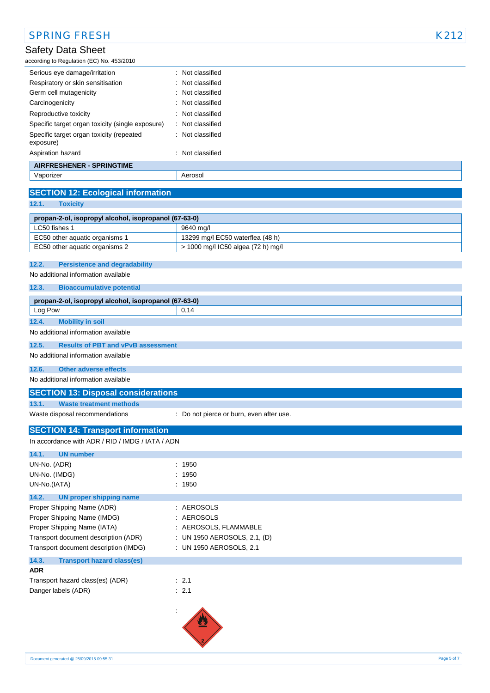| <b>SPRING FRESH</b>                                   |                                          | K212 |
|-------------------------------------------------------|------------------------------------------|------|
| Safety Data Sheet                                     |                                          |      |
| according to Regulation (EC) No. 453/2010             |                                          |      |
| Serious eye damage/irritation                         | : Not classified                         |      |
| Respiratory or skin sensitisation                     | Not classified                           |      |
| Germ cell mutagenicity                                | Not classified                           |      |
| Carcinogenicity                                       | Not classified                           |      |
| Reproductive toxicity                                 | Not classified                           |      |
| Specific target organ toxicity (single exposure)      | Not classified                           |      |
| Specific target organ toxicity (repeated<br>exposure) | : Not classified                         |      |
| Aspiration hazard                                     | : Not classified                         |      |
| <b>AIRFRESHENER - SPRINGTIME</b>                      |                                          |      |
| Vaporizer                                             | Aerosol                                  |      |
| <b>SECTION 12: Ecological information</b>             |                                          |      |
| 12.1.<br><b>Toxicity</b>                              |                                          |      |
|                                                       |                                          |      |
| propan-2-ol, isopropyl alcohol, isopropanol (67-63-0) |                                          |      |
| LC50 fishes 1                                         | 9640 mg/l                                |      |
| EC50 other aquatic organisms 1                        | 13299 mg/l EC50 waterflea (48 h)         |      |
| EC50 other aquatic organisms 2                        | > 1000 mg/l IC50 algea (72 h) mg/l       |      |
| 12.2.<br><b>Persistence and degradability</b>         |                                          |      |
| No additional information available                   |                                          |      |
|                                                       |                                          |      |
| 12.3.<br><b>Bioaccumulative potential</b>             |                                          |      |
| propan-2-ol, isopropyl alcohol, isopropanol (67-63-0) |                                          |      |
| Log Pow                                               | 0,14                                     |      |
| 12.4.<br><b>Mobility in soil</b>                      |                                          |      |
| No additional information available                   |                                          |      |
| 12.5.<br><b>Results of PBT and vPvB assessment</b>    |                                          |      |
| No additional information available                   |                                          |      |
| 12.6.<br><b>Other adverse effects</b>                 |                                          |      |
| No additional information available                   |                                          |      |
| <b>SECTION 13: Disposal considerations</b>            |                                          |      |
| 13.1.<br><b>Waste treatment methods</b>               |                                          |      |
| Waste disposal recommendations                        | : Do not pierce or burn, even after use. |      |
|                                                       |                                          |      |
| <b>SECTION 14: Transport information</b>              |                                          |      |
| In accordance with ADR / RID / IMDG / IATA / ADN      |                                          |      |
| 14.1.<br><b>UN number</b>                             |                                          |      |
| UN-No. (ADR)                                          | : 1950                                   |      |
| UN-No. (IMDG)                                         | : 1950                                   |      |
| UN-No.(IATA)                                          | : 1950                                   |      |
| 14.2.<br><b>UN proper shipping name</b>               |                                          |      |
| Proper Shipping Name (ADR)                            | : AEROSOLS                               |      |
| Proper Shipping Name (IMDG)                           | : AEROSOLS                               |      |
| Proper Shipping Name (IATA)                           | : AEROSOLS, FLAMMABLE                    |      |
| Transport document description (ADR)                  | : UN 1950 AEROSOLS, 2.1, (D)             |      |
| Transport document description (IMDG)                 | : UN 1950 AEROSOLS, 2.1                  |      |
| 14.3.<br><b>Transport hazard class(es)</b>            |                                          |      |
| <b>ADR</b>                                            |                                          |      |
| Transport hazard class(es) (ADR)                      | $\therefore$ 2.1                         |      |
| Danger labels (ADR)                                   | : 2.1                                    |      |
|                                                       |                                          |      |
|                                                       |                                          |      |
|                                                       |                                          |      |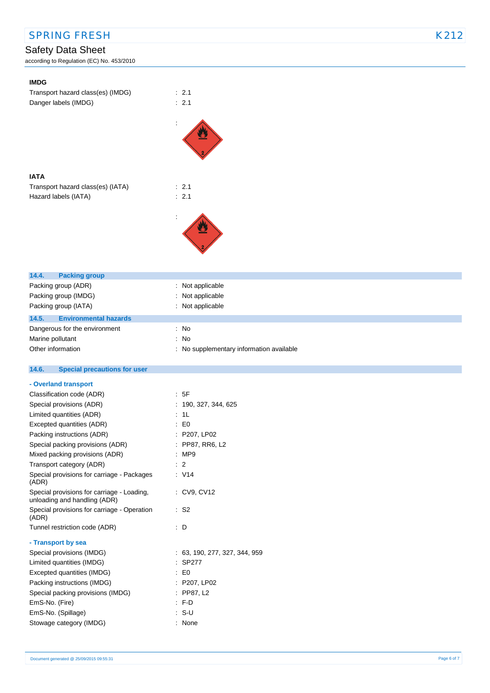| <b>SPRING FRESH</b> | K212 |
|---------------------|------|
|                     |      |

according to Regulation (EC) No. 453/2010

| <b>IMDG</b>                                                                |                                          |
|----------------------------------------------------------------------------|------------------------------------------|
| Transport hazard class(es) (IMDG)                                          | : 2.1                                    |
| Danger labels (IMDG)                                                       | : 2.1                                    |
|                                                                            |                                          |
|                                                                            |                                          |
|                                                                            |                                          |
|                                                                            |                                          |
|                                                                            |                                          |
|                                                                            |                                          |
| <b>IATA</b>                                                                |                                          |
| Transport hazard class(es) (IATA)                                          | : 2.1                                    |
| Hazard labels (IATA)                                                       | : 2.1                                    |
|                                                                            |                                          |
|                                                                            |                                          |
|                                                                            |                                          |
|                                                                            |                                          |
|                                                                            |                                          |
|                                                                            |                                          |
|                                                                            |                                          |
| 14.4.<br><b>Packing group</b>                                              |                                          |
| Packing group (ADR)                                                        | : Not applicable                         |
| Packing group (IMDG)                                                       | : Not applicable                         |
| Packing group (IATA)                                                       | : Not applicable                         |
| 14.5.<br><b>Environmental hazards</b>                                      |                                          |
| Dangerous for the environment                                              | : No                                     |
| Marine pollutant                                                           | : No                                     |
| Other information                                                          | : No supplementary information available |
| 14.6.<br><b>Special precautions for user</b>                               |                                          |
|                                                                            |                                          |
| - Overland transport                                                       |                                          |
| Classification code (ADR)                                                  | : 5F                                     |
| Special provisions (ADR)                                                   | : 190, 327, 344, 625                     |
| Limited quantities (ADR)                                                   | : 1L                                     |
| Excepted quantities (ADR)                                                  | $\therefore$ EO                          |
| Packing instructions (ADR)                                                 | : P207, LP02                             |
| Special packing provisions (ADR)                                           | : PP87, RR6, L2                          |
| Mixed packing provisions (ADR)                                             | : MP9                                    |
| Transport category (ADR)                                                   | $\therefore$ 2                           |
| Special provisions for carriage - Packages<br>(ADR)                        | $\therefore$ V14                         |
| Special provisions for carriage - Loading,<br>unloading and handling (ADR) | : CV9, CV12                              |
| Special provisions for carriage - Operation<br>(ADR)                       | $\therefore$ S2                          |
| Tunnel restriction code (ADR)                                              | : D                                      |
|                                                                            |                                          |
| - Transport by sea                                                         |                                          |
| Special provisions (IMDG)                                                  | : 63, 190, 277, 327, 344, 959            |
| Limited quantities (IMDG)<br>Excepted quantities (IMDG)                    | $:$ SP277<br>$\therefore$ EO             |
|                                                                            |                                          |
| Packing instructions (IMDG)                                                | : P207, LP02                             |
| Special packing provisions (IMDG)<br>EmS-No. (Fire)                        | : PP87, L2<br>: F.D                      |
|                                                                            |                                          |
|                                                                            |                                          |
| EmS-No. (Spillage)<br>Stowage category (IMDG)                              | $: S-U$<br>: None                        |